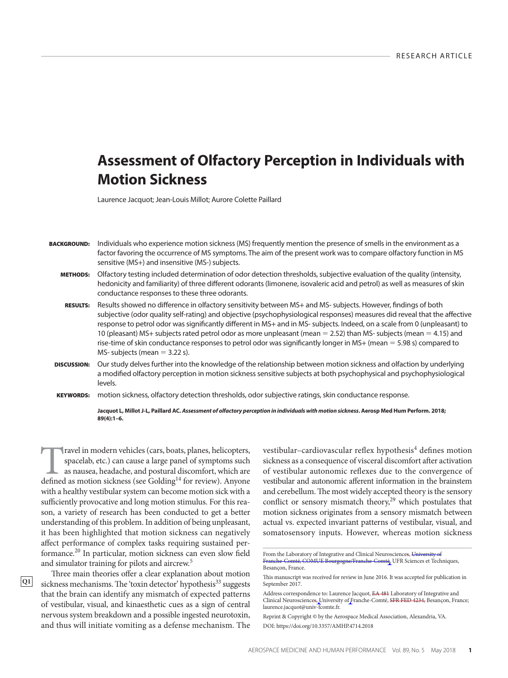# **Assessment of Olfactory Perception in Individuals with Motion Sickness**

Laurence Jacquot; Jean-Louis Millot; Aurore Colette Paillard

 **BACKGROUND:** Individuals who experience motion sickness (MS) frequently mention the presence of smells in the environment as a factor favoring the occurrence of MS symptoms. The aim of the present work was to compare olfactory function in MS sensitive (MS+) and insensitive (MS-) subjects.

- **METHODS:** Olfactory testing included determination of odor detection thresholds, subjective evaluation of the quality (intensity, hedonicity and familiarity) of three different odorants (limonene, isovaleric acid and petrol) as well as measures of skin conductance responses to these three odorants.
- RESULTS: Results showed no difference in olfactory sensitivity between MS+ and MS- subjects. However, findings of both subjective (odor quality self-rating) and objective (psychophysiological responses) measures did reveal that the affective response to petrol odor was significantly different in MS+ and in MS- subjects. Indeed, on a scale from 0 (unpleasant) to 10 (pleasant) MS+ subjects rated petrol odor as more unpleasant (mean = 2.52) than MS- subjects (mean = 4.15) and rise-time of skin conductance responses to petrol odor was significantly longer in MS+ (mean  $=$  5.98 s) compared to MS- subjects (mean  $= 3.22$  s).
- **DISCUSSION:** Our study delves further into the knowledge of the relationship between motion sickness and olfaction by underlying a modified olfactory perception in motion sickness sensitive subjects at both psychophysical and psychophysiological levels.
- KEYWORDS: motion sickness, olfactory detection thresholds, odor subjective ratings, skin conductance response.

**Jacquot L, Millot J-L, Paillard AC. Assessment of olfactory perception in individuals with motion sickness . Aerosp Med Hum Perform. 2018;**  89(4): 1-6.

Travel in modern vehicles (cars, boats, planes, helicopters, spacelab, etc.) can cause a large panel of symptoms such as nausea, headache, and postural discomfort, which are defined as motion sickness (see Golding<sup>14</sup> for spacelab, etc.) can cause a large panel of symptoms such as nausea, headache, and postural discomfort, which are defined as motion sickness (see Golding<sup>14</sup> for review). Anyone with a healthy vestibular system can become motion sick with a sufficiently provocative and long motion stimulus. For this reason, a variety of research has been conducted to get a better understanding of this problem. In addition of being unpleasant, it has been highlighted that motion sickness can negatively affect performance of complex tasks requiring sustained performance.<sup>20</sup> In particular, motion sickness can even slow field and simulator training for pilots and aircrew. 5

**Q1**

vestibular-cardiovascular reflex hypothesis<sup>4</sup> defines motion sickness as a consequence of visceral discomfort after activation of vestibular autonomic reflexes due to the convergence of vestibular and autonomic afferent information in the brainstem and cerebellum. The most widely accepted theory is the sensory conflict or sensory mismatch theory,<sup>29</sup> which postulates that motion sickness originates from a sensory mismatch between actual vs. expected invariant patterns of vestibular, visual, and somatosensory inputs. However, whereas motion sickness

Three main theories offer a clear explanation about motion sickness mechanisms. The 'toxin detector' hypothesis<sup>33</sup> suggests that the brain can identify any mismatch of expected patterns of vestibular, visual, and kinaesthetic cues as a sign of central nervous system breakdown and a possible ingested neurotoxin, and thus will initiate vomiting as a defense mechanism. The

From the Laboratory of Integrative and Clinical Neurosciences, University of Franche-Comté, COMUE Bourgogne/Franche-Comté, UFR Sciences et Techniques, Besançon, France.

This manuscript was received for review in June 2016. It was accepted for publication in September 2017.

Address correspondence to: Laurence Jacquot, EA 481 Laboratory of Integrative and Clinical Neurosciences, University of Franche-Comté, SFR FED 4234, Besançon, France; laurence.jacquot@univ-fcomte.fr.

Reprint & Copyright © by the Aerospace Medical Association, Alexandria, VA.

DOI: https://doi.org/10.3357/AMHP.4714.2018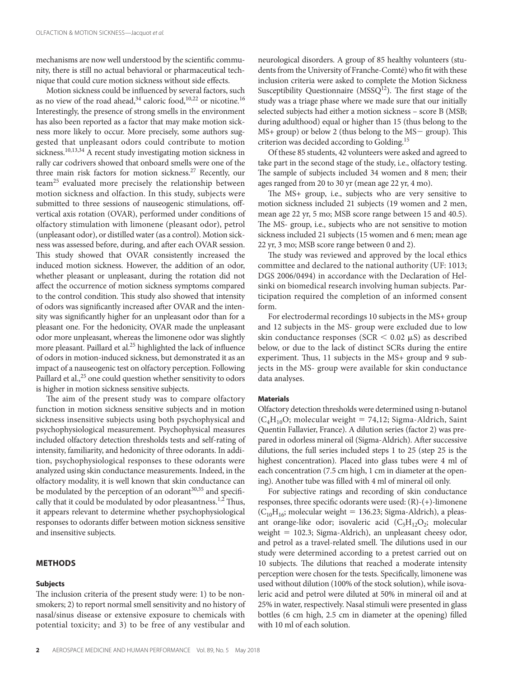mechanisms are now well understood by the scientific community, there is still no actual behavioral or pharmaceutical technique that could cure motion sickness without side effects.

Motion sickness could be influenced by several factors, such as no view of the road ahead,  $34$  caloric food,  $10,22$  or nicotine.  $16$ Interestingly, the presence of strong smells in the environment has also been reported as a factor that may make motion sickness more likely to occur. More precisely, some authors suggested that unpleasant odors could contribute to motion sickness.<sup>10,13,34</sup> A recent study investigating motion sickness in rally car codrivers showed that onboard smells were one of the three main risk factors for motion sickness.<sup>27</sup> Recently, our team<sup>25</sup> evaluated more precisely the relationship between motion sickness and olfaction. In this study, subjects were submitted to three sessions of nauseogenic stimulations, offvertical axis rotation (OVAR), performed under conditions of olfactory stimulation with limonene (pleasant odor), petrol (unpleasant odor), or distilled water (as a control). Motion sickness was assessed before, during, and after each OVAR session. This study showed that OVAR consistently increased the induced motion sickness. However, the addition of an odor, whether pleasant or unpleasant, during the rotation did not affect the occurrence of motion sickness symptoms compared to the control condition. This study also showed that intensity of odors was significantly increased after OVAR and the intensity was significantly higher for an unpleasant odor than for a pleasant one. For the hedonicity, OVAR made the unpleasant odor more unpleasant, whereas the limonene odor was slightly more pleasant. Paillard et al.<sup>25</sup> highlighted the lack of influence of odors in motion-induced sickness, but demonstrated it as an impact of a nauseogenic test on olfactory perception. Following Paillard et al.,<sup>25</sup> one could question whether sensitivity to odors is higher in motion sickness sensitive subjects.

The aim of the present study was to compare olfactory function in motion sickness sensitive subjects and in motion sickness insensitive subjects using both psychophysical and psychophysiological measurement. Psychophysical measures included olfactory detection thresholds tests and self-rating of intensity, familiarity, and hedonicity of three odorants. In addition, psychophysiological responses to these odorants were analyzed using skin conductance measurements. Indeed, in the olfactory modality, it is well known that skin conductance can be modulated by the perception of an odorant<sup>30,35</sup> and specifically that it could be modulated by odor pleasantness.<sup>1,2</sup> Thus, it appears relevant to determine whether psychophysiological responses to odorants differ between motion sickness sensitive and insensitive subjects.

#### **METHODS**

#### **Subjects**

The inclusion criteria of the present study were: 1) to be nonsmokers; 2) to report normal smell sensitivity and no history of nasal/sinus disease or extensive exposure to chemicals with potential toxicity; and 3) to be free of any vestibular and

neurological disorders. A group of 85 healthy volunteers (students from the University of Franche-Comté) who fit with these inclusion criteria were asked to complete the Motion Sickness Susceptibility Questionnaire ( $MSSQ<sup>12</sup>$ ). The first stage of the study was a triage phase where we made sure that our initially selected subjects had either a motion sickness – score B (MSB; during adulthood) equal or higher than 15 (thus belong to the  $MS+$  group) or below 2 (thus belong to the  $MS-$  group). This criterion was decided according to Golding. 15

 Of these 85 students, 42 volunteers were asked and agreed to take part in the second stage of the study, i.e., olfactory testing. The sample of subjects included 34 women and 8 men; their ages ranged from 20 to 30 yr (mean age 22 yr, 4 mo).

The MS+ group, i.e., subjects who are very sensitive to motion sickness included 21 subjects (19 women and 2 men, mean age 22 yr, 5 mo; MSB score range between 15 and 40.5). The MS- group, i.e., subjects who are not sensitive to motion sickness included 21 subjects (15 women and 6 men; mean age 22 yr, 3 mo; MSB score range between 0 and 2).

The study was reviewed and approved by the local ethics committee and declared to the national authority (UF: 1013; DGS 2006/0494) in accordance with the Declaration of Helsinki on biomedical research involving human subjects. Participation required the completion of an informed consent form.

 For electrodermal recordings 10 subjects in the MS+ group and 12 subjects in the MS- group were excluded due to low skin conductance responses (SCR  $<$  0.02  $\mu$ S) as described below, or due to the lack of distinct SCRs during the entire experiment. Thus, 11 subjects in the MS+ group and 9 subjects in the MS- group were available for skin conductance data analyses.

#### **Materials**

 Olfactory detection thresholds were determined using n-butanol  $(C_4H_{10}O;$  molecular weight = 74,12; Sigma-Aldrich, Saint Quentin Fallavier, France). A dilution series (factor 2) was prepared in odorless mineral oil (Sigma-Aldrich). After successive dilutions, the full series included steps 1 to 25 (step 25 is the highest concentration). Placed into glass tubes were 4 ml of each concentration (7.5 cm high, 1 cm in diameter at the opening). Another tube was filled with 4 ml of mineral oil only.

 For subjective ratings and recording of skin conductance responses, three specific odorants were used:  $(R)-(+)$ -limonene  $(C_{10}H_{16}$ ; molecular weight = 136.23; Sigma-Aldrich), a pleasant orange-like odor; isovaleric acid  $(C_5H_{12}O_2;$  molecular weight  $= 102.3$ ; Sigma-Aldrich), an unpleasant cheesy odor, and petrol as a travel-related smell. The dilutions used in our study were determined according to a pretest carried out on 10 subjects. The dilutions that reached a moderate intensity perception were chosen for the tests. Specifically, limonene was used without dilution (100% of the stock solution), while isovaleric acid and petrol were diluted at 50% in mineral oil and at 25% in water, respectively. Nasal stimuli were presented in glass bottles (6 cm high, 2.5 cm in diameter at the opening) filled with 10 ml of each solution.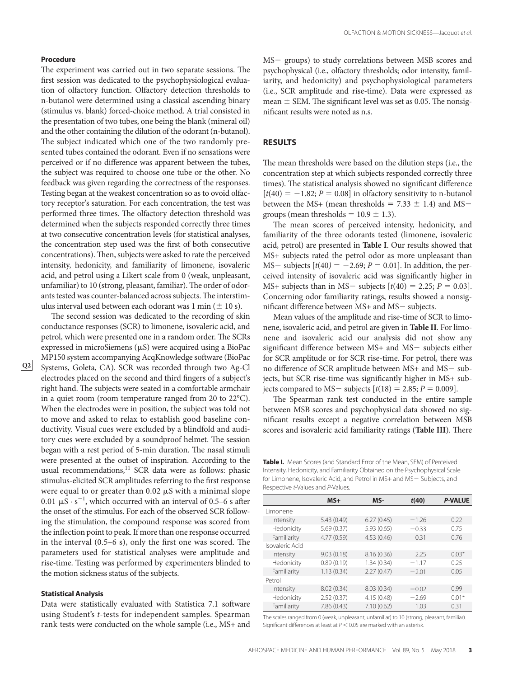#### **Procedure**

The experiment was carried out in two separate sessions. The first session was dedicated to the psychophysiological evaluation of olfactory function. Olfactory detection thresholds to n-butanol were determined using a classical ascending binary (stimulus vs. blank) forced-choice method. A trial consisted in the presentation of two tubes, one being the blank (mineral oil) and the other containing the dilution of the odorant (n-butanol). The subject indicated which one of the two randomly presented tubes contained the odorant. Even if no sensations were perceived or if no difference was apparent between the tubes, the subject was required to choose one tube or the other. No feedback was given regarding the correctness of the responses. Testing began at the weakest concentration so as to ovoid olfactory receptor's saturation. For each concentration, the test was performed three times. The olfactory detection threshold was determined when the subjects responded correctly three times at two consecutive concentration levels (for statistical analyses, the concentration step used was the first of both consecutive concentrations). Then, subjects were asked to rate the perceived intensity, hedonicity, and familiarity of limonene, isovaleric acid, and petrol using a Likert scale from 0 (weak, unpleasant, unfamiliar) to 10 (strong, pleasant, familiar). The order of odorants tested was counter-balanced across subjects. The interstimulus interval used between each odorant was 1 min  $(\pm 10 \text{ s})$ .

The second session was dedicated to the recording of skin conductance responses (SCR) to limonene, isovaleric acid, and petrol, which were presented one in a random order. The SCRs expressed in microSiemens  $(\mu S)$  were acquired using a BioPac MP150 system accompanying AcqKnowledge software (BioPac Systems, Goleta, CA). SCR was recorded through two Ag-Cl electrodes placed on the second and third fingers of a subject's right hand. The subjects were seated in a comfortable armchair in a quiet room (room temperature ranged from 20 to 22°C). When the electrodes were in position, the subject was told not to move and asked to relax to establish good baseline conductivity. Visual cues were excluded by a blindfold and auditory cues were excluded by a soundproof helmet. The session began with a rest period of 5-min duration. The nasal stimuli were presented at the outset of inspiration. According to the usual recommendations,<sup>11</sup> SCR data were as follows: phasic stimulus-elicited SCR amplitudes referring to the first response were equal to or greater than  $0.02 \mu S$  with a minimal slope 0.01  $\mu$ S · s<sup>-1</sup>, which occurred with an interval of 0.5-6 s after the onset of the stimulus. For each of the observed SCR following the stimulation, the compound response was scored from the inflection point to peak. If more than one response occurred in the interval  $(0.5-6 s)$ , only the first one was scored. The parameters used for statistical analyses were amplitude and rise-time. Testing was performed by experimenters blinded to the motion sickness status of the subjects.

### **Statistical Analysis**

**Q2**

Data were statistically evaluated with Statistica 7.1 software using Student's *t*-tests for independent samples. Spearman rank tests were conducted on the whole sample (i.e., MS+ and MS- groups) to study correlations between MSB scores and psychophysical (i.e., olfactory thresholds; odor intensity, familiarity, and hedonicity) and psychophysiological parameters (i.e., SCR amplitude and rise-time). Data were expressed as mean  $\pm$  SEM. The significant level was set as 0.05. The nonsignificant results were noted as n.s.

#### **RESULTS**

The mean thresholds were based on the dilution steps (i.e., the concentration step at which subjects responded correctly three times). The statistical analysis showed no significant difference  $[t(40) = -1.82; P = 0.08]$  in olfactory sensitivity to n-butanol between the MS+ (mean thresholds =  $7.33 \pm 1.4$ ) and MSgroups (mean thresholds =  $10.9 \pm 1.3$ ).

The mean scores of perceived intensity, hedonicity, and familiarity of the three odorants tested (limonene, isovaleric acid, petrol) are presented in **Table I** . Our results showed that MS+ subjects rated the petrol odor as more unpleasant than  $MS$  - subjects  $[t(40) = -2.69; P = 0.01]$ . In addition, the perceived intensity of isovaleric acid was significantly higher in MS+ subjects than in MS- subjects  $[t(40) = 2.25; P = 0.03]$ . Concerning odor familiarity ratings, results showed a nonsignificant difference between  $MS+$  and  $MS-$  subjects.

 Mean values of the amplitude and rise-time of SCR to limonene, isovaleric acid, and petrol are given in **Table II** . For limonene and isovaleric acid our analysis did not show any significant difference between  $MS+$  and  $MS-$  subjects either for SCR amplitude or for SCR rise-time. For petrol, there was no difference of SCR amplitude between MS+ and MS- subjects, but SCR rise-time was significantly higher in MS+ subjects compared to MS – subjects  $[t(18) = 2.85; P = 0.009]$ .

The Spearman rank test conducted in the entire sample between MSB scores and psychophysical data showed no significant results except a negative correlation between MSB scores and isovaleric acid familiarity ratings (Table III). There

**Table I.** Mean Scores (and Standard Error of the Mean, SEM) of Perceived Intensity, Hedonicity, and Familiarity Obtained on the Psychophysical Scale for Limonene, Isovaleric Acid, and Petrol in MS+ and MS-Subjects, and Respective t-Values and P-Values.

|                 | $MS+$       | $MS-$      | t(40)   | <b>P-VALUE</b> |
|-----------------|-------------|------------|---------|----------------|
| Limonene        |             |            |         |                |
| Intensity       | 5.43(0.49)  | 6.27(0.45) | $-1.26$ | 0.22           |
| Hedonicity      | 5.69(0.37)  | 5.93(0.65) | $-0.33$ | 0.75           |
| Familiarity     | 4.77 (0.59) | 4.53(0.46) | 0.31    | 0.76           |
| Isovaleric Acid |             |            |         |                |
| Intensity       | 9.03(0.18)  | 8.16(0.36) | 2.25    | $0.03*$        |
| Hedonicity      | 0.89(0.19)  | 1.34(0.34) | $-1.17$ | 0.25           |
| Familiarity     | 1.13(0.34)  | 2.27(0.47) | $-2.01$ | 0.05           |
| Petrol          |             |            |         |                |
| Intensity       | 8.02(0.34)  | 8.03(0.34) | $-0.02$ | 0.99           |
| Hedonicity      | 2.52(0.37)  | 4.15(0.48) | $-2.69$ | $0.01*$        |
| Familiarity     | 7.86(0.43)  | 7.10(0.62) | 1.03    | 0.31           |

 The scales ranged from 0 (weak, unpleasant, unfamiliar) to 10 (strong, pleasant, familiar). Significant differences at least at  $P < 0.05$  are marked with an asterisk.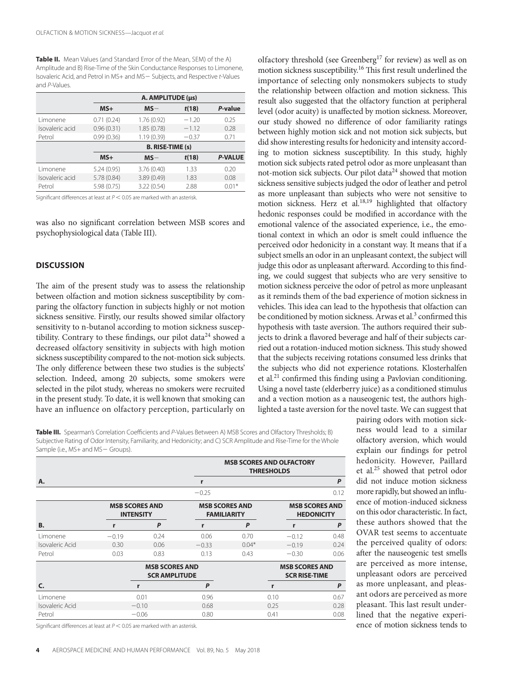**Table II.** Mean Values (and Standard Error of the Mean, SEM) of the A) Amplitude and B) Rise-Time of the Skin Conductance Responses to Limonene, Isovaleric Acid, and Petrol in MS+ and MS- Subjects, and Respective t-Values and P-Values.

|                 | A. AMPLITUDE (µs) |                         |         |                |  |  |
|-----------------|-------------------|-------------------------|---------|----------------|--|--|
|                 | $MS+$             | $MS -$                  | t(18)   | P-value        |  |  |
| Limonene        | 0.71(0.24)        | 1.76(0.92)              | $-1.20$ | 0.25           |  |  |
| Isovaleric acid | 0.96(0.31)        | 1.85(0.78)              | $-1.12$ | 0.28           |  |  |
| Petrol          | 0.99(0.36)        | 1.19(0.39)              | $-0.37$ | 0.71           |  |  |
|                 |                   |                         |         |                |  |  |
|                 |                   | <b>B. RISE-TIME (s)</b> |         |                |  |  |
|                 | $MS+$             | $MS -$                  | t(18)   | <b>P-VALUE</b> |  |  |
| Limonene        | 5.24(0.95)        | 3.76(0.40)              | 1.33    | 0.20           |  |  |
| Isovaleric acid | 5.78 (0.84)       | 3.89 (0.49)             | 1.83    | 0.08           |  |  |

Significant differences at least at  $P < 0.05$  are marked with an asterisk.

was also no significant correlation between MSB scores and psychophysiological data (Table III).

## **DISCUSSION**

The aim of the present study was to assess the relationship between olfaction and motion sickness susceptibility by comparing the olfactory function in subjects highly or not motion sickness sensitive. Firstly, our results showed similar olfactory sensitivity to n-butanol according to motion sickness susceptibility. Contrary to these findings, our pilot data $^{24}$  showed a decreased olfactory sensitivity in subjects with high motion sickness susceptibility compared to the not-motion sick subjects. The only difference between these two studies is the subjects' selection. Indeed, among 20 subjects, some smokers were selected in the pilot study, whereas no smokers were recruited in the present study. To date, it is well known that smoking can have an influence on olfactory perception, particularly on

olfactory threshold (see Greenberg<sup>17</sup> for review) as well as on motion sickness susceptibility.<sup>16</sup> This first result underlined the importance of selecting only nonsmokers subjects to study the relationship between olfaction and motion sickness. This result also suggested that the olfactory function at peripheral level (odor acuity) is unaffected by motion sickness. Moreover, our study showed no difference of odor familiarity ratings between highly motion sick and not motion sick subjects, but did show interesting results for hedonicity and intensity according to motion sickness susceptibility. In this study, highly motion sick subjects rated petrol odor as more unpleasant than not-motion sick subjects. Our pilot data $24$  showed that motion sickness sensitive subjects judged the odor of leather and petrol as more unpleasant than subjects who were not sensitive to motion sickness. Herz et al.<sup>18,19</sup> highlighted that olfactory hedonic responses could be modified in accordance with the emotional valence of the associated experience, i.e., the emotional context in which an odor is smelt could influence the perceived odor hedonicity in a constant way. It means that if a subject smells an odor in an unpleasant context, the subject will judge this odor as unpleasant afterward. According to this finding, we could suggest that subjects who are very sensitive to motion sickness perceive the odor of petrol as more unpleasant as it reminds them of the bad experience of motion sickness in vehicles. This idea can lead to the hypothesis that olfaction can be conditioned by motion sickness. Arwas et al.<sup>3</sup> confirmed this hypothesis with taste aversion. The authors required their subjects to drink a flavored beverage and half of their subjects carried out a rotation-induced motion sickness. This study showed that the subjects receiving rotations consumed less drinks that the subjects who did not experience rotations. Klosterhalfen et al. $21$  confirmed this finding using a Pavlovian conditioning. Using a novel taste (elderberry juice) as a conditioned stimulus and a vection motion as a nauseogenic test, the authors highlighted a taste aversion for the novel taste. We can suggest that

Table III. Spearman's Correlation Coefficients and P-Values Between A) MSB Scores and Olfactory Thresholds; B) Subjective Rating of Odor Intensity, Familiarity, and Hedonicity; and C) SCR Amplitude and Rise-Time for the Whole Sample (i.e., MS+ and MS- Groups).

|                 |         |                                                                                          |         | <b>MSB SCORES AND OLFACTORY</b><br><b>THRESHOLDS</b> |                                               |              |  |
|-----------------|---------|------------------------------------------------------------------------------------------|---------|------------------------------------------------------|-----------------------------------------------|--------------|--|
| А.              |         |                                                                                          | r       |                                                      |                                               | P            |  |
|                 |         |                                                                                          | $-0.25$ |                                                      |                                               | 0.12         |  |
|                 |         | <b>MSB SCORES AND</b><br><b>MSB SCORES AND</b><br><b>INTENSITY</b><br><b>FAMILIARITY</b> |         | <b>MSB SCORES AND</b><br><b>HEDONICITY</b>           |                                               |              |  |
| <b>B.</b>       | r       | P                                                                                        | r       | P                                                    | r                                             | P            |  |
| Limonene        | $-0.19$ | 0.24                                                                                     | 0.06    | 0.70                                                 | $-0.12$                                       | 0.48         |  |
| Isovaleric Acid | 0.30    | 0.06                                                                                     | $-0.33$ | $0.04*$                                              | $-0.19$                                       | 0.24         |  |
| Petrol          | 0.03    | 0.83                                                                                     | 0.13    | 0.43                                                 | $-0.30$                                       | 0.06         |  |
|                 |         | <b>MSB SCORES AND</b><br><b>SCR AMPLITUDE</b>                                            |         |                                                      | <b>MSB SCORES AND</b><br><b>SCR RISE-TIME</b> |              |  |
| C.              |         | r                                                                                        | P       |                                                      | r                                             | $\mathsf{P}$ |  |
| Limonene        |         | 0.01                                                                                     | 0.96    |                                                      | 0.10                                          | 0.67         |  |
| Isovaleric Acid |         | $-0.10$                                                                                  | 0.68    |                                                      | 0.25                                          | 0.28         |  |
| Petrol          |         | $-0.06$                                                                                  | 0.80    |                                                      | 0.41                                          | 0.08         |  |

Significant differences at least at  $P < 0.05$  are marked with an asterisk.

pairing odors with motion sickness would lead to a similar olfactory aversion, which would explain our findings for petrol hedonicity. However, Paillard et al.<sup>25</sup> showed that petrol odor did not induce motion sickness more rapidly, but showed an influence of motion-induced sickness on this odor characteristic. In fact, these authors showed that the OVAR test seems to accentuate the perceived quality of odors: after the nauseogenic test smells are perceived as more intense, unpleasant odors are perceived as more unpleasant, and pleasant odors are perceived as more pleasant. This last result underlined that the negative experience of motion sickness tends to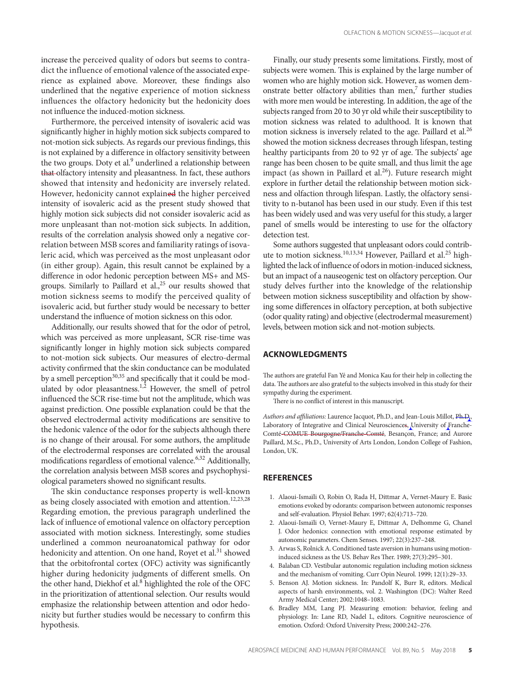increase the perceived quality of odors but seems to contradict the influence of emotional valence of the associated experience as explained above. Moreover, these findings also underlined that the negative experience of motion sickness influences the olfactory hedonicity but the hedonicity does not influence the induced-motion sickness.

 Furthermore, the perceived intensity of isovaleric acid was significantly higher in highly motion sick subjects compared to not-motion sick subjects. As regards our previous findings, this is not explained by a difference in olfactory sensitivity between the two groups. Doty et al.<sup>9</sup> underlined a relationship between that olfactory intensity and pleasantness. In fact, these authors showed that intensity and hedonicity are inversely related. However, hedonicity cannot explained the higher perceived intensity of isovaleric acid as the present study showed that highly motion sick subjects did not consider isovaleric acid as more unpleasant than not-motion sick subjects. In addition, results of the correlation analysis showed only a negative correlation between MSB scores and familiarity ratings of isovaleric acid, which was perceived as the most unpleasant odor (in either group). Again, this result cannot be explained by a difference in odor hedonic perception between MS+ and MSgroups. Similarly to Paillard et al., $25$  our results showed that motion sickness seems to modify the perceived quality of isovaleric acid, but further study would be necessary to better understand the influence of motion sickness on this odor.

 Additionally, our results showed that for the odor of petrol, which was perceived as more unpleasant, SCR rise-time was significantly longer in highly motion sick subjects compared to not-motion sick subjects. Our measures of electro-dermal activity confirmed that the skin conductance can be modulated by a smell perception<sup>30,35</sup> and specifically that it could be modulated by odor pleasantness.<sup>1,2</sup> However, the smell of petrol influenced the SCR rise-time but not the amplitude, which was against prediction. One possible explanation could be that the observed electrodermal activity modifications are sensitive to the hedonic valence of the odor for the subjects although there is no change of their arousal. For some authors, the amplitude of the electrodermal responses are correlated with the arousal modifications regardless of emotional valence.<sup>6,32</sup> Additionally, the correlation analysis between MSB scores and psychophysiological parameters showed no significant results.

The skin conductance responses property is well-known as being closely associated with emotion and attention.<sup>12,23,28</sup> Regarding emotion, the previous paragraph underlined the lack of influence of emotional valence on olfactory perception associated with motion sickness. Interestingly, some studies underlined a common neuroanatomical pathway for odor hedonicity and attention. On one hand, Royet et al.<sup>31</sup> showed that the orbitofrontal cortex (OFC) activity was significantly higher during hedonicity judgments of different smells. On the other hand, Diekhof et al.<sup>8</sup> highlighted the role of the OFC in the prioritization of attentional selection. Our results would emphasize the relationship between attention and odor hedonicity but further studies would be necessary to confirm this hypothesis.

 Finally, our study presents some limitations. Firstly, most of subjects were women. This is explained by the large number of women who are highly motion sick. However, as women demonstrate better olfactory abilities than men, $^7$  further studies with more men would be interesting. In addition, the age of the subjects ranged from 20 to 30 yr old while their susceptibility to motion sickness was related to adulthood. It is known that motion sickness is inversely related to the age. Paillard et al.<sup>26</sup> showed the motion sickness decreases through lifespan, testing healthy participants from 20 to 92 yr of age. The subjects' age range has been chosen to be quite small, and thus limit the age impact (as shown in Paillard et al. $26$ ). Future research might explore in further detail the relationship between motion sickness and olfaction through lifespan. Lastly, the olfactory sensitivity to n-butanol has been used in our study. Even if this test has been widely used and was very useful for this study, a larger panel of smells would be interesting to use for the olfactory detection test.

 Some authors suggested that unpleasant odors could contribute to motion sickness.<sup>10,13,34</sup> However, Paillard et al.<sup>25</sup> highlighted the lack of influence of odors in motion-induced sickness, but an impact of a nauseogenic test on olfactory perception. Our study delves further into the knowledge of the relationship between motion sickness susceptibility and olfaction by showing some differences in olfactory perception, at both subjective (odor quality rating) and objective (electrodermal measurement) levels, between motion sick and not-motion subjects.

# **ACKNOWLEDGMENTS**

The authors are grateful Fan Yé and Monica Kau for their help in collecting the data. The authors are also grateful to the subjects involved in this study for their sympathy during the experiment.

There is no conflict of interest in this manuscript.

*Authors and affi liations:* Laurence Jacquot, Ph.D., and Jean-Louis Millot, Ph.D., Laboratory of Integrative and Clinical Neurosciences, University of Franche-Comté-COMUE Bourgogne/Franche-Comté, Besançon, France; and Aurore Paillard, M.Sc., Ph.D., University of Arts London, London College of Fashion, London, UK.

#### **REFERENCES**

- 1. Alaoui-Ismaïli O, Robin O, Rada H, Dittmar A, Vernet-Maury E . Basic emotions evoked by odorants: comparison between autonomic responses and self-evaluation. Physiol Behav. 1997; 62(4):713-720.
- 2. Alaoui-Ismaïli O, Vernet-Maury E, Dittmar A, Delhomme G, Chanel J. Odor hedonics: connection with emotional response estimated by autonomic parameters. Chem Senses. 1997; 22(3):237-248.
- 3. Arwas S, Rolnick A. Conditioned taste aversion in humans using motioninduced sickness as the US. Behav Res Ther. 1989; 27(3):295-301.
- 4. Balaban CD. Vestibular autonomic regulation including motion sickness and the mechanism of vomiting. Curr Opin Neurol. 1999; 12(1):29-33.
- 5. Benson AJ. Motion sickness. In: Pandolf K, Burr R, editors. Medical aspects of harsh environments, vol. 2. Washington (DC): Walter Reed Army Medical Center; 2002:1048-1083.
- 6. Bradley MM, Lang PJ. Measuring emotion: behavior, feeling and physiology. In: Lane RD, Nadel L, editors. Cognitive neuroscience of emotion. Oxford: Oxford University Press; 2000:242-276.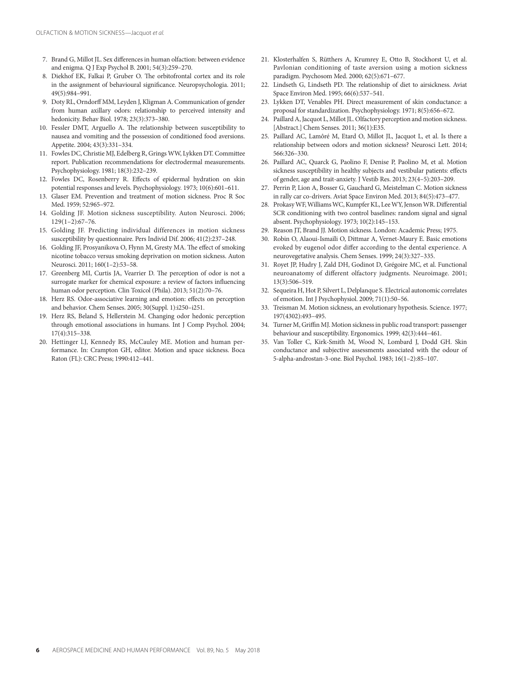- 7. Brand G, Millot JL. Sex differences in human olfaction: between evidence and enigma. Q J Exp Psychol B. 2001; 54(3):259-270.
- 8. Diekhof EK, Falkai P, Gruber O. The orbitofrontal cortex and its role in the assignment of behavioural significance. Neuropsychologia. 2011; 49 (5): 984 – 991.
- 9. Doty RL, Orndorff MM, Leyden J, Kligman A . Communication of gender from human axillary odors: relationship to perceived intensity and hedonicity. Behav Biol. 1978; 23(3):373-380.
- 10. Fessler DMT, Arguello A. The relationship between susceptibility to nausea and vomiting and the possession of conditioned food aversions . Appetite. 2004; 43(3):331-334.
- 11. Fowles DC, Christie MJ, Edelberg R, Grings WW, Lykken DT. Committee report. Publication recommendations for electrodermal measurements . Psychophysiology. 1981; 18(3):232-239.
- 12. Fowles DC, Rosenberry R. Effects of epidermal hydration on skin potential responses and levels. Psychophysiology. 1973; 10(6):601-611.
- 13. Glaser EM. Prevention and treatment of motion sickness. Proc R Soc Med. 1959: 52:965-972.
- 14. Golding JF. Motion sickness susceptibility. Auton Neurosci. 2006;  $129(1-2):67-76.$
- 15. Golding JF. Predicting individual differences in motion sickness susceptibility by questionnaire. Pers Individ Dif. 2006; 41(2):237-248.
- 16. Golding JF, Prosyanikova O, Flynn M, Gresty MA. The effect of smoking nicotine tobacco versus smoking deprivation on motion sickness . Auton Neurosci. 2011; 160(1-2):53-58.
- 17. Greenberg MI, Curtis JA, Vearrier D. The perception of odor is not a surrogate marker for chemical exposure: a review of factors influencing human odor perception. Clin Toxicol (Phila). 2013; 51(2):70-76.
- 18. Herz RS. Odor-associative learning and emotion: effects on perception and behavior. Chem Senses. 2005; 30(Suppl. 1):i250-i251.
- 19. Herz RS, Beland S, Hellerstein M. Changing odor hedonic perception through emotional associations in humans. Int J Comp Psychol. 2004;  $17(4):315 - 338.$
- 20. Hettinger LJ, Kennedy RS, McCauley ME . Motion and human performance. In: Crampton GH, editor. Motion and space sickness. Boca Raton (FL): CRC Press; 1990:412-441.
- 21. Klosterhalfen S, Rütthers A, Krumrey E, Otto B, Stockhorst U, et al. Pavlonian conditioning of taste aversion using a motion sickness paradigm. Psychosom Med. 2000; 62(5):671-677.
- 22. Lindseth G, Lindseth PD. The relationship of diet to airsickness. Aviat Space Environ Med. 1995; 66(6):537-541.
- 23. Lykken DT, Venables PH. Direct measurement of skin conductance: a proposal for standardization. Psychophysiology. 1971; 8(5):656-672.
- 24. Paillard A, Jacquot L, Millot JL . Olfactory perception and motion sickness. [Abstract.] Chem Senses. 2011; 36(1):E35.
- 25. Paillard AC, Lamôré M, Etard O, Millot JL, Jacquot L, et al. Is there a relationship between odors and motion sickness? Neurosci Lett. 2014; 566:326-330.
- 26. Paillard AC, Quarck G, Paolino F, Denise P, Paolino M, et al. Motion sickness susceptibility in healthy subjects and vestibular patients: effects of gender, age and trait-anxiety. J Vestib Res. 2013; 23(4-5):203-209.
- 27. Perrin P, Lion A, Bosser G, Gauchard G, Meistelman C. Motion sickness in rally car co-drivers. Aviat Space Environ Med. 2013; 84(5):473-477.
- 28. Prokasy WF, Williams WC, Kumpfer KL, Lee WY, Jenson WR. Differential SCR conditioning with two control baselines: random signal and signal absent. Psychophysiology. 1973; 10(2):145-153.
- 29. Reason JT, Brand JJ. Motion sickness. London: Academic Press; 1975.
- 30. Robin O, Alaoui-Ismaïli O, Dittmar A, Vernet-Maury E. Basic emotions evoked by eugenol odor differ according to the dental experience. A neurovegetative analysis. Chem Senses. 1999; 24(3):327-335.
- 31. Royet JP, Hudry J, Zald DH, Godinot D, Grégoire MC, et al. Functional neuroanatomy of different olfactory judgments. Neuroimage. 2001; 13 ( 3 ): 50 6 - 519.
- 32. Sequeira H, Hot P, Silvert L, Delplanque S. Electrical autonomic correlates of emotion. Int J Psychophysiol. 2009; 71(1):50-56.
- 33. Treisman M. Motion sickness, an evolutionary hypothesis. Science. 1977; 197 ( 4302 ): 493 - 495.
- 34. Turner M, Griffin MJ. Motion sickness in public road transport: passenger behaviour and susceptibility. Ergonomics. 1999; 42(3):444-461.
- 35. Van Toller C, Kirk-Smith M, Wood N, Lombard J, Dodd GH. Skin conductance and subjective assessments associated with the odour of 5-alpha-androstan-3-one. Biol Psychol. 1983; 16(1-2):85-107.